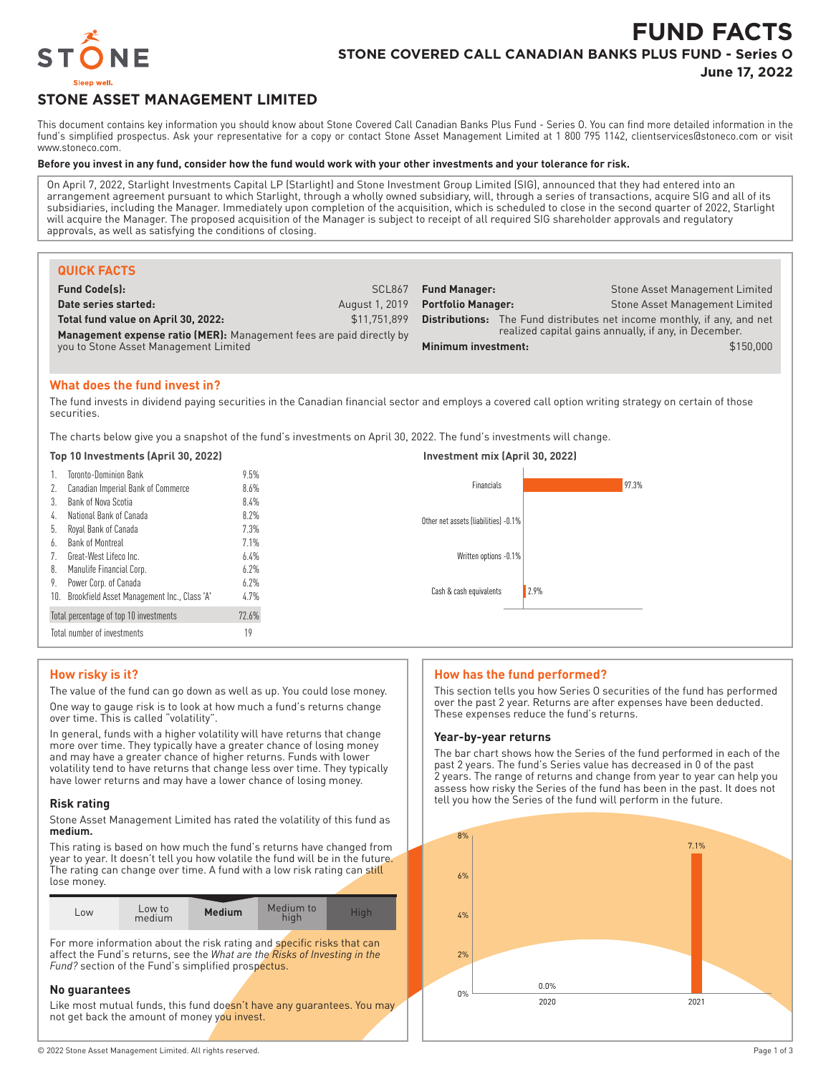

# **FUND FACTS STONE COVERED CALL CANADIAN BANKS PLUS FUND - Series O**

**June 17, 2022**

# **STONE ASSET MANAGEMENT LIMITED**

This document contains key information you should know about Stone Covered Call Canadian Banks Plus Fund - Series O. You can find more detailed information in the fund's simplified prospectus. Ask your representative for a copy or contact Stone Asset Management Limited at 1 800 795 1142, clientservices@stoneco.com or visit www.stoneco.com.

### **Before you invest in any fund, consider how the fund would work with your other investments and your tolerance for risk.**

On April 7, 2022, Starlight Investments Capital LP (Starlight) and Stone Investment Group Limited (SIG), announced that they had entered into an arrangement agreement pursuant to which Starlight, through a wholly owned subsidiary, will, through a series of transactions, acquire SIG and all of its subsidiaries, including the Manager. Immediately upon completion of the acquisition, which is scheduled to close in the second quarter of 2022, Starlight will acquire the Manager. The proposed acquisition of the Manager is subject to receipt of all required SIG shareholder approvals and regulatory approvals, as well as satisfying the conditions of closing.

| <b>QUICK FACTS</b>                                                                                            |                |                           |                                                                                |
|---------------------------------------------------------------------------------------------------------------|----------------|---------------------------|--------------------------------------------------------------------------------|
| <b>Fund Code(s):</b>                                                                                          | SCL867         | <b>Fund Manager:</b>      | Stone Asset Management Limited                                                 |
| Date series started:                                                                                          | August 1, 2019 | <b>Portfolio Manager:</b> | Stone Asset Management Limited                                                 |
| Total fund value on April 30, 2022:                                                                           | \$11.751.899   |                           | <b>Distributions:</b> The Fund distributes net income monthly, if any, and net |
| Management expense ratio (MER): Management fees are paid directly by<br>you to Stone Asset Management Limited |                |                           | realized capital gains annually, if any, in December.                          |
|                                                                                                               |                | Minimum investment:       | \$150,000                                                                      |

## **What does the fund invest in?**

The fund invests in dividend paying securities in the Canadian financial sector and employs a covered call option writing strategy on certain of those securities.

The charts below give you a snapshot of the fund's investments on April 30, 2022. The fund's investments will change.

#### **Top 10 Investments (April 30, 2022) Investment mix (April 30, 2022)** 1. Toronto-Dominion Bank 9.5% 2. Canadian Imperial Bank of Commerce 8.6% 3. Bank of Nova Scotia 8.4% 4. National Bank of Canada 8.2% 5. Royal Bank of Canada 7.3% 6. Bank of Montreal 7.1% 7. Great-West Lifeco Inc. 6.4% 8. Manulife Financial Corp. 6.2% 9. Power Corp. of Canada 6.2% 10. Brookfield Asset Management Inc., Class 'A' 4.7% Total percentage of top 10 investments 72.6% Total number of investments 19 97.3% Other net assets (liabilities) -0.1% Written options -0.1% 2.9% Financials Cash & cash equivalents

## **How risky is it?**

The value of the fund can go down as well as up. You could lose money. One way to gauge risk is to look at how much a fund's returns change over time. This is called "volatility".

In general, funds with a higher volatility will have returns that change more over time. They typically have a greater chance of losing money and may have a greater chance of higher returns. Funds with lower volatility tend to have returns that change less over time. They typically have lower returns and may have a lower chance of losing money.

#### **Risk rating**

Stone Asset Management Limited has rated the volatility of this fund as **medium.**

This rating is based on how much the fund's returns have changed from year to year. It doesn't tell you how volatile the fund will be in the future. The rating can change over time. A fund with a low risk rating can still lose money.

| Medium to<br>Low to<br><b>Medium</b><br><b>High</b><br>L <sub>OW</sub><br>medium<br>hiah |
|------------------------------------------------------------------------------------------|
|------------------------------------------------------------------------------------------|

For more information about the risk rating and specific risks that can affect the Fund's returns, see the *What are the Risks of Investing in the Fund?* section of the Fund's simplified prospectus.

### **No guarantees**

Like most mutual funds, this fund doesn't have any guarantees. You may not get back the amount of money you invest.

## **How has the fund performed?**

This section tells you how Series O securities of the fund has performed over the past 2 year. Returns are after expenses have been deducted. These expenses reduce the fund's returns.

### **Year-by-year returns**

The bar chart shows how the Series of the fund performed in each of the past 2 years. The fund's Series value has decreased in 0 of the past 2 years. The range of returns and change from year to year can help you assess how risky the Series of the fund has been in the past. It does not tell you how the Series of the fund will perform in the future.

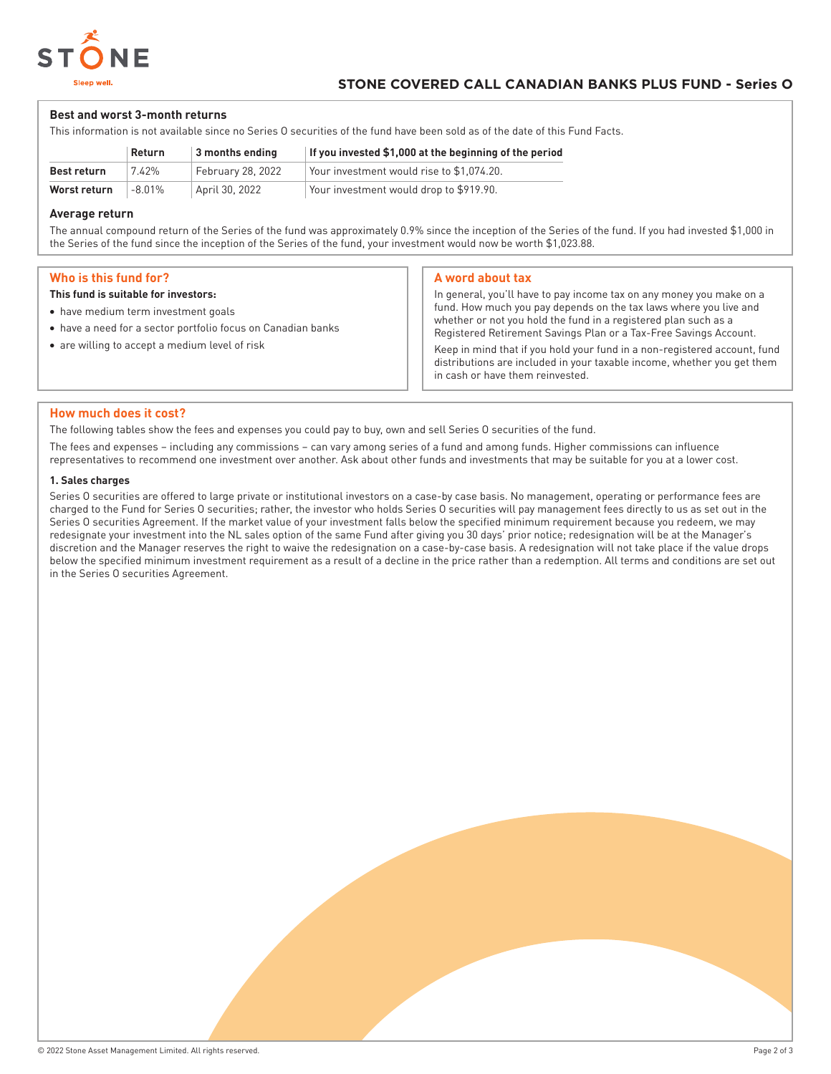

## **Best and worst 3-month returns**

This information is not available since no Series O securities of the fund have been sold as of the date of this Fund Facts.

|              | Return | 3 months ending   | If you invested \$1,000 at the beginning of the period |
|--------------|--------|-------------------|--------------------------------------------------------|
| Best return  | 7.42%  | February 28, 2022 | $^{\circ}$ Your investment would rise to \$1,074.20.   |
| Worst return | -8.01% | April 30, 2022    | Your investment would drop to \$919.90.                |

## **Average return**

The annual compound return of the Series of the fund was approximately 0.9% since the inception of the Series of the fund. If you had invested \$1,000 in the Series of the fund since the inception of the Series of the fund, your investment would now be worth \$1,023.88.

## **Who is this fund for?**

## **This fund is suitable for investors:**

- have medium term investment goals
- have a need for a sector portfolio focus on Canadian banks
- are willing to accept a medium level of risk

#### **A word about tax**

In general, you'll have to pay income tax on any money you make on a fund. How much you pay depends on the tax laws where you live and whether or not you hold the fund in a registered plan such as a Registered Retirement Savings Plan or a Tax-Free Savings Account.

Keep in mind that if you hold your fund in a non-registered account, fund distributions are included in your taxable income, whether you get them in cash or have them reinvested.

## **How much does it cost?**

The following tables show the fees and expenses you could pay to buy, own and sell Series O securities of the fund.

The fees and expenses – including any commissions – can vary among series of a fund and among funds. Higher commissions can influence representatives to recommend one investment over another. Ask about other funds and investments that may be suitable for you at a lower cost.

#### **1. Sales charges**

Series O securities are offered to large private or institutional investors on a case-by case basis. No management, operating or performance fees are charged to the Fund for Series O securities; rather, the investor who holds Series O securities will pay management fees directly to us as set out in the Series O securities Agreement. If the market value of your investment falls below the specified minimum requirement because you redeem, we may redesignate your investment into the NL sales option of the same Fund after giving you 30 days' prior notice; redesignation will be at the Manager's discretion and the Manager reserves the right to waive the redesignation on a case-by-case basis. A redesignation will not take place if the value drops below the specified minimum investment requirement as a result of a decline in the price rather than a redemption. All terms and conditions are set out in the Series O securities Agreement.